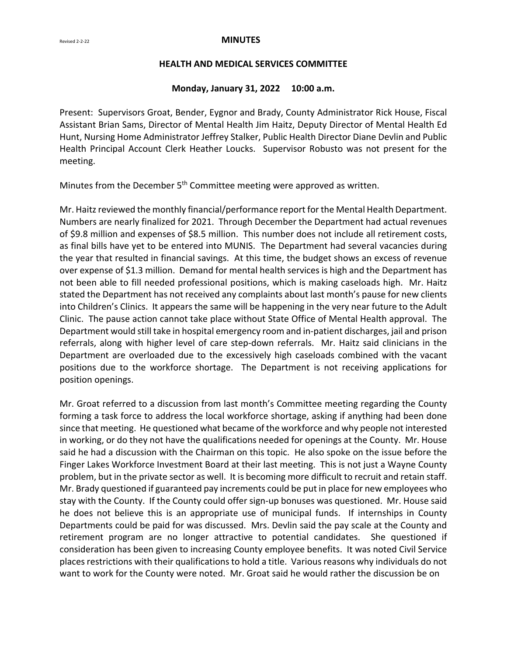#### Revised 2-2-22<br>**MINUTES**

#### **HEALTH AND MEDICAL SERVICES COMMITTEE**

#### **Monday, January 31, 2022 10:00 a.m.**

Present: Supervisors Groat, Bender, Eygnor and Brady, County Administrator Rick House, Fiscal Assistant Brian Sams, Director of Mental Health Jim Haitz, Deputy Director of Mental Health Ed Hunt, Nursing Home Administrator Jeffrey Stalker, Public Health Director Diane Devlin and Public Health Principal Account Clerk Heather Loucks. Supervisor Robusto was not present for the meeting.

Minutes from the December 5<sup>th</sup> Committee meeting were approved as written.

Mr. Haitz reviewed the monthly financial/performance report for the Mental Health Department. Numbers are nearly finalized for 2021. Through December the Department had actual revenues of \$9.8 million and expenses of \$8.5 million. This number does not include all retirement costs, as final bills have yet to be entered into MUNIS. The Department had several vacancies during the year that resulted in financial savings. At this time, the budget shows an excess of revenue over expense of \$1.3 million. Demand for mental health services is high and the Department has not been able to fill needed professional positions, which is making caseloads high. Mr. Haitz stated the Department has not received any complaints about last month's pause for new clients into Children's Clinics. It appears the same will be happening in the very near future to the Adult Clinic. The pause action cannot take place without State Office of Mental Health approval. The Department would still take in hospital emergency room and in-patient discharges, jail and prison referrals, along with higher level of care step-down referrals. Mr. Haitz said clinicians in the Department are overloaded due to the excessively high caseloads combined with the vacant positions due to the workforce shortage. The Department is not receiving applications for position openings.

Mr. Groat referred to a discussion from last month's Committee meeting regarding the County forming a task force to address the local workforce shortage, asking if anything had been done since that meeting. He questioned what became of the workforce and why people not interested in working, or do they not have the qualifications needed for openings at the County. Mr. House said he had a discussion with the Chairman on this topic. He also spoke on the issue before the Finger Lakes Workforce Investment Board at their last meeting. This is not just a Wayne County problem, but in the private sector as well. It is becoming more difficult to recruit and retain staff. Mr. Brady questioned if guaranteed pay increments could be put in place for new employees who stay with the County. If the County could offer sign-up bonuses was questioned. Mr. House said he does not believe this is an appropriate use of municipal funds. If internships in County Departments could be paid for was discussed. Mrs. Devlin said the pay scale at the County and retirement program are no longer attractive to potential candidates. She questioned if consideration has been given to increasing County employee benefits. It was noted Civil Service places restrictions with their qualifications to hold a title. Various reasons why individuals do not want to work for the County were noted. Mr. Groat said he would rather the discussion be on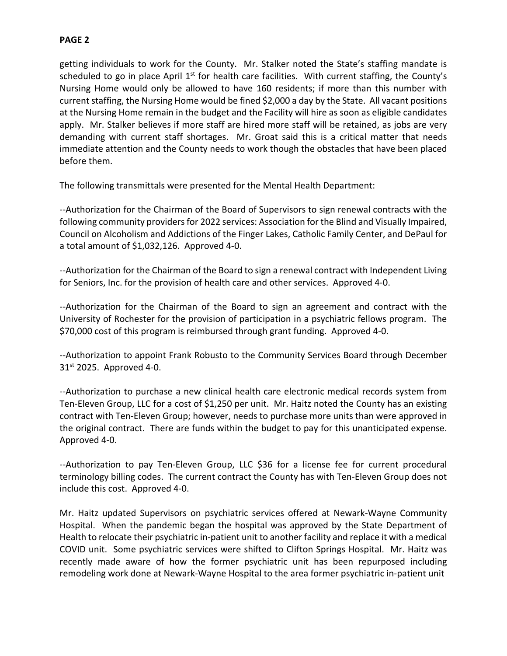## **PAGE 2**

getting individuals to work for the County. Mr. Stalker noted the State's staffing mandate is scheduled to go in place April  $1<sup>st</sup>$  for health care facilities. With current staffing, the County's Nursing Home would only be allowed to have 160 residents; if more than this number with current staffing, the Nursing Home would be fined \$2,000 a day by the State. All vacant positions at the Nursing Home remain in the budget and the Facility will hire as soon as eligible candidates apply. Mr. Stalker believes if more staff are hired more staff will be retained, as jobs are very demanding with current staff shortages. Mr. Groat said this is a critical matter that needs immediate attention and the County needs to work though the obstacles that have been placed before them.

The following transmittals were presented for the Mental Health Department:

--Authorization for the Chairman of the Board of Supervisors to sign renewal contracts with the following community providers for 2022 services: Association for the Blind and Visually Impaired, Council on Alcoholism and Addictions of the Finger Lakes, Catholic Family Center, and DePaul for a total amount of \$1,032,126. Approved 4-0.

--Authorization for the Chairman of the Board to sign a renewal contract with Independent Living for Seniors, Inc. for the provision of health care and other services. Approved 4-0.

--Authorization for the Chairman of the Board to sign an agreement and contract with the University of Rochester for the provision of participation in a psychiatric fellows program. The \$70,000 cost of this program is reimbursed through grant funding. Approved 4-0.

--Authorization to appoint Frank Robusto to the Community Services Board through December  $31<sup>st</sup>$  2025. Approved 4-0.

--Authorization to purchase a new clinical health care electronic medical records system from Ten-Eleven Group, LLC for a cost of \$1,250 per unit. Mr. Haitz noted the County has an existing contract with Ten-Eleven Group; however, needs to purchase more units than were approved in the original contract. There are funds within the budget to pay for this unanticipated expense. Approved 4-0.

--Authorization to pay Ten-Eleven Group, LLC \$36 for a license fee for current procedural terminology billing codes. The current contract the County has with Ten-Eleven Group does not include this cost. Approved 4-0.

Mr. Haitz updated Supervisors on psychiatric services offered at Newark-Wayne Community Hospital. When the pandemic began the hospital was approved by the State Department of Health to relocate their psychiatric in-patient unit to another facility and replace it with a medical COVID unit. Some psychiatric services were shifted to Clifton Springs Hospital. Mr. Haitz was recently made aware of how the former psychiatric unit has been repurposed including remodeling work done at Newark-Wayne Hospital to the area former psychiatric in-patient unit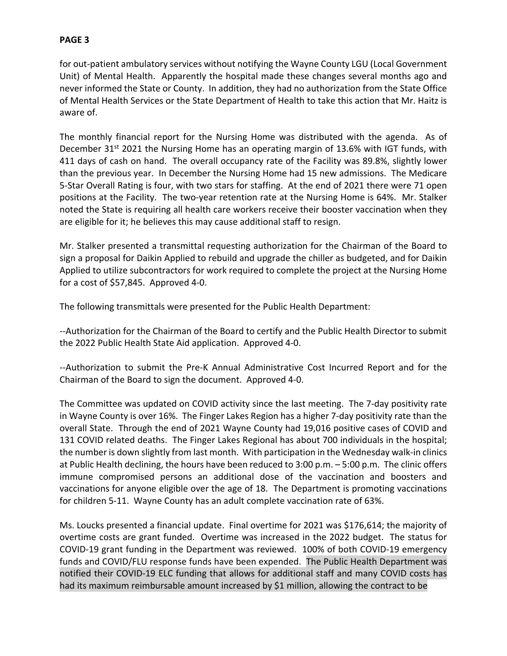# **PAGE 3**

for out-patient ambulatory services without notifying the Wayne County LGU (Local Government Unit) of Mental Health. Apparently the hospital made these changes several months ago and never informed the State or County. In addition, they had no authorization from the State Office of Mental Health Services or the State Department of Health to take this action that Mr. Haitz is aware of.

The monthly financial report for the Nursing Home was distributed with the agenda. As of December 31<sup>st</sup> 2021 the Nursing Home has an operating margin of 13.6% with IGT funds, with 411 days of cash on hand. The overall occupancy rate of the Facility was 89.8%, slightly lower than the previous year. In December the Nursing Home had 15 new admissions. The Medicare 5-Star Overall Rating is four, with two stars for staffing. At the end of 2021 there were 71 open positions at the Facility. The two-year retention rate at the Nursing Home is 64%. Mr. Stalker noted the State is requiring all health care workers receive their booster vaccination when they are eligible for it; he believes this may cause additional staff to resign.

Mr. Stalker presented a transmittal requesting authorization for the Chairman of the Board to sign a proposal for Daikin Applied to rebuild and upgrade the chiller as budgeted, and for Daikin Applied to utilize subcontractors for work required to complete the project at the Nursing Home for a cost of \$57,845. Approved 4-0.

The following transmittals were presented for the Public Health Department:

--Authorization for the Chairman of the Board to certify and the Public Health Director to submit the 2022 Public Health State Aid application. Approved 4-0.

--Authorization to submit the Pre-K Annual Administrative Cost Incurred Report and for the Chairman of the Board to sign the document. Approved 4-0.

The Committee was updated on COVID activity since the last meeting. The 7-day positivity rate in Wayne County is over 16%. The Finger Lakes Region has a higher 7-day positivity rate than the overall State. Through the end of 2021 Wayne County had 19,016 positive cases of COVID and 131 COVID related deaths. The Finger Lakes Regional has about 700 individuals in the hospital; the number is down slightly from last month. With participation in the Wednesday walk-in clinics at Public Health declining, the hours have been reduced to 3:00 p.m. – 5:00 p.m. The clinic offers immune compromised persons an additional dose of the vaccination and boosters and vaccinations for anyone eligible over the age of 18. The Department is promoting vaccinations for children 5-11. Wayne County has an adult complete vaccination rate of 63%.

Ms. Loucks presented a financial update. Final overtime for 2021 was \$176,614; the majority of overtime costs are grant funded. Overtime was increased in the 2022 budget. The status for COVID-19 grant funding in the Department was reviewed. 100% of both COVID-19 emergency funds and COVID/FLU response funds have been expended. The Public Health Department was notified their COVID-19 ELC funding that allows for additional staff and many COVID costs has had its maximum reimbursable amount increased by \$1 million, allowing the contract to be